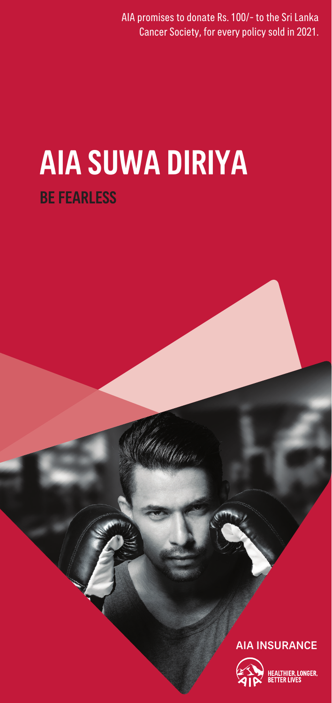AIA promises to donate Rs. 100/- to the Sri Lanka .<br>Cancer Society, for every policy sold in 2021.

# BE FEARLESS AIA SUWA DIRIYA

# AIA INSURANCE



ONGER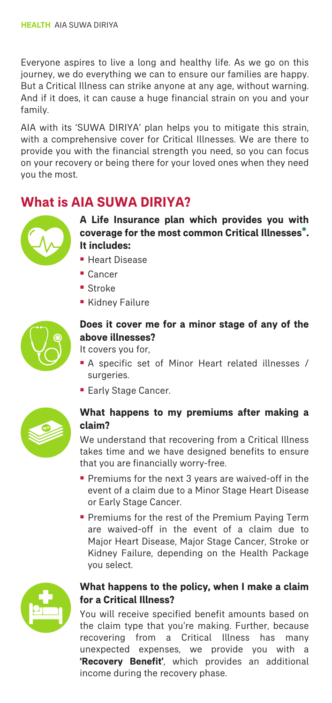Everyone aspires to live a long and healthy life. As we go on this journey, we do everything we can to ensure our families are happy. But a Critical Illness can strike anyone at any age, without warning. And if it does, it can cause a huge financial strain on you and your family.

AIA with its 'SUWA DIRIYA' plan helps you to mitigate this strain, with a comprehensive cover for Critical Illnesses. We are there to provide you with the financial strength you need, so you can focus on your recovery or being there for your loved ones when they need you the most.

# **What is AIA SUWA DIRIYA?**



**A Life Insurance plan which provides you with coverage for the most common Critical Illnesses\*. It includes:**

- ¡ Heart Disease
- ¡ Cancer
- Stroke
- ¡ Kidney Failure



# **Does it cover me for a minor stage of any of the above illnesses?**

- It covers you for,
- ¡ A specific set of Minor Heart related illnesses / surgeries.
- **Early Stage Cancer.**



## **What happens to my premiums after making a claim?**

We understand that recovering from a Critical Illness takes time and we have designed benefits to ensure that you are financially worry-free.

- ¡ Premiums for the next 3 years are waived-off in the event of a claim due to a Minor Stage Heart Disease or Early Stage Cancer.
- **Premiums for the rest of the Premium Paying Term** are waived-off in the event of a claim due to Major Heart Disease, Major Stage Cancer, Stroke or Kidney Failure, depending on the Health Package you select.



## **What happens to the policy, when I make a claim for a Critical Illness?**

You will receive specified benefit amounts based on the claim type that you're making. Further, because recovering from a Critical Illness has many unexpected expenses, we provide you with a **'Recovery Benefit'**, which provides an additional income during the recovery phase.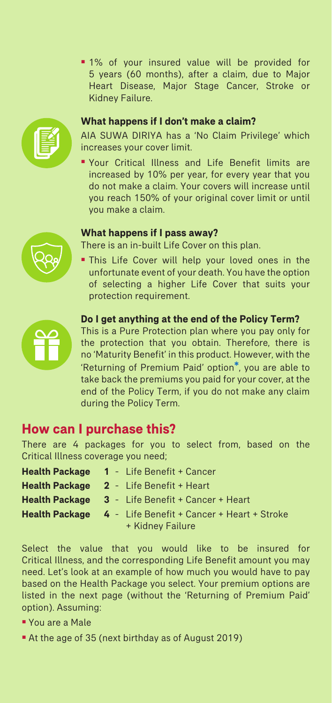¡ 1% of your insured value will be provided for 5 years (60 months), after a claim, due to Major Heart Disease, Major Stage Cancer, Stroke or Kidney Failure.



### **What happens if I don't make a claim?**

AIA SUWA DIRIYA has a 'No Claim Privilege' which increases your cover limit.

¡ Your Critical Illness and Life Benefit limits are increased by 10% per year, for every year that you do not make a claim. Your covers will increase until you reach 150% of your original cover limit or until you make a claim.

#### **What happens if I pass away?**

There is an in-built Life Cover on this plan.

¡ This Life Cover will help your loved ones in the unfortunate event of your death. You have the option of selecting a higher Life Cover that suits your protection requirement.



#### **Do I get anything at the end of the Policy Term?**

This is a Pure Protection plan where you pay only for the protection that you obtain. Therefore, there is no 'Maturity Benefit' in this product. However, with the 'Returning of Premium Paid' option**\***, you are able to take back the premiums you paid for your cover, at the end of the Policy Term, if you do not make any claim during the Policy Term.

# **How can I purchase this?**

There are 4 packages for you to select from, based on the Critical Illness coverage you need;

| Health Package 1 - Life Benefit + Cancer                         |
|------------------------------------------------------------------|
| <b>Health Package 2 - Life Benefit + Heart</b>                   |
| <b>Health Package</b> $3 -$ Life Benefit + Cancer + Heart        |
| <b>Health Package 4 - Life Benefit + Cancer + Heart + Stroke</b> |
| + Kidney Failure                                                 |

Select the value that you would like to be insured for Critical Illness, and the corresponding Life Benefit amount you may need. Let's look at an example of how much you would have to pay based on the Health Package you select. Your premium options are listed in the next page (without the 'Returning of Premium Paid' option). Assuming:

- ¡ You are a Male
- ¡ At the age of 35 (next birthday as of August 2019)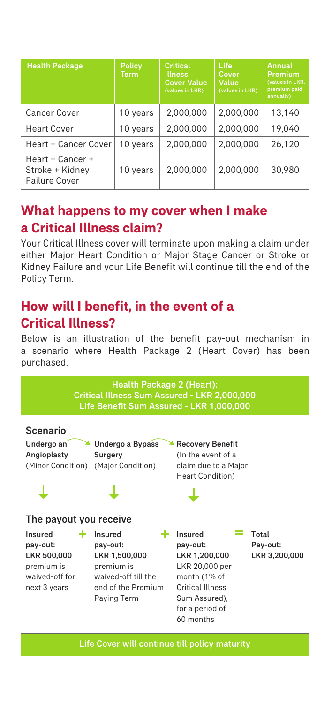| <b>Health Package</b>                                       | <b>Policy</b><br><b>Term</b> | Critical<br><b>Illness</b><br><b>Cover Value</b><br>(values in LKR) | <b>Life</b><br>Cover<br>Value<br>(values in LKR) | Annual<br><b>Premium</b><br>(values in LKR,<br>premium paid<br>annually) |
|-------------------------------------------------------------|------------------------------|---------------------------------------------------------------------|--------------------------------------------------|--------------------------------------------------------------------------|
| <b>Cancer Cover</b>                                         | 10 years                     | 2.000.000                                                           | 2.000.000                                        | 13.140                                                                   |
| <b>Heart Cover</b>                                          | 10 years                     | 2.000.000                                                           | 2.000.000                                        | 19.040                                                                   |
| Heart + Cancer Cover                                        | 10 years                     | 2,000,000                                                           | 2.000.000                                        | 26,120                                                                   |
| Heart + Cancer +<br>Stroke + Kidney<br><b>Failure Cover</b> | 10 years                     | 2,000,000                                                           | 2.000.000                                        | 30.980                                                                   |

# **What happens to my cover when I make a Critical Illness claim?**

Your Critical Illness cover will terminate upon making a claim under either Major Heart Condition or Major Stage Cancer or Stroke or Kidney Failure and your Life Benefit will continue till the end of the Policy Term.

# **How will I benefit, in the event of a Critical Illness?**

Below is an illustration of the benefit pay-out mechanism in a scenario where Health Package 2 (Heart Cover) has been purchased.

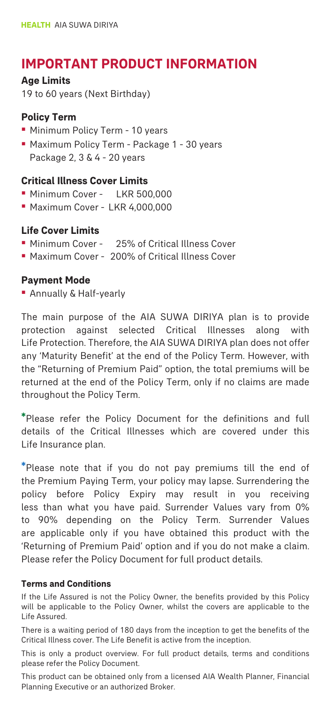# **IMPORTANT PRODUCT INFORMATION**

**Age Limits**

19 to 60 years (Next Birthday)

## **Policy Term**

- ¡ Minimum Policy Term 10 years
- ¡ Maximum Policy Term Package 1 30 years Package 2, 3 & 4 - 20 years

## **Critical Illness Cover Limits**

- Minimum Cover LKR 500,000
- ¡ Maximum Cover LKR 4,000,000

# **Life Cover Limits**

- ¡ Minimum Cover 25% of Critical Illness Cover
- ¡ Maximum Cover 200% of Critical Illness Cover

## **Payment Mode**

**• Annually & Half-yearly** 

The main purpose of the AIA SUWA DIRIYA plan is to provide protection against selected Critical Illnesses along with Life Protection. Therefore, the AIA SUWA DIRIYA plan does not offer any 'Maturity Benefit' at the end of the Policy Term. However, with the "Returning of Premium Paid" option, the total premiums will be returned at the end of the Policy Term, only if no claims are made throughout the Policy Term.

**\***Please refer the Policy Document for the definitions and full details of the Critical Illnesses which are covered under this Life Insurance plan.

**\***Please note that if you do not pay premiums till the end of the Premium Paying Term, your policy may lapse. Surrendering the policy before Policy Expiry may result in you receiving less than what you have paid. Surrender Values vary from 0% to 90% depending on the Policy Term. Surrender Values are applicable only if you have obtained this product with the 'Returning of Premium Paid' option and if you do not make a claim. Please refer the Policy Document for full product details.

#### **Terms and Conditions**

If the Life Assured is not the Policy Owner, the benefits provided by this Policy will be applicable to the Policy Owner, whilst the covers are applicable to the Life Assured.

There is a waiting period of 180 days from the inception to get the benefits of the Critical Illness cover. The Life Benefit is active from the inception.

This is only a product overview. For full product details, terms and conditions please refer the Policy Document.

This product can be obtained only from a licensed AIA Wealth Planner, Financial Planning Executive or an authorized Broker.